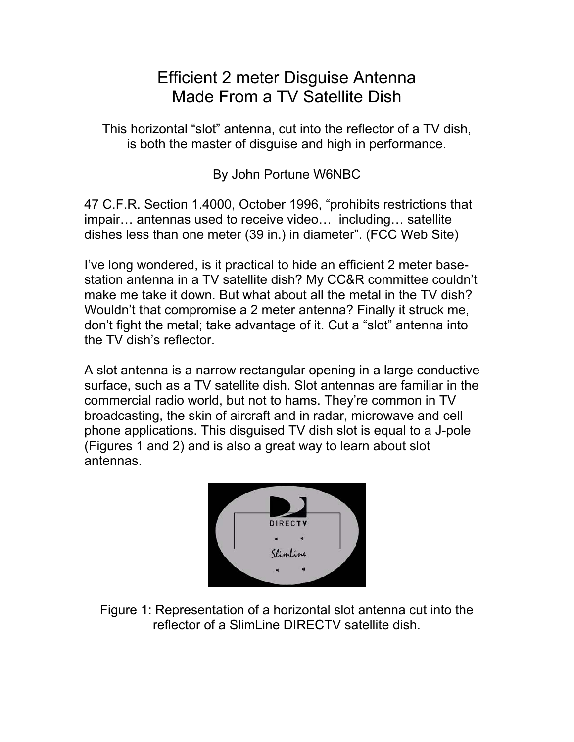## Efficient 2 meter Disguise Antenna Made From a TV Satellite Dish

This horizontal "slot" antenna, cut into the reflector of a TV dish, is both the master of disguise and high in performance.

By John Portune W6NBC

47 C.F.R. Section 1.4000, October 1996, "prohibits restrictions that impair… antennas used to receive video… including… satellite dishes less than one meter (39 in.) in diameter". (FCC Web Site)

I've long wondered, is it practical to hide an efficient 2 meter basestation antenna in a TV satellite dish? My CC&R committee couldn't make me take it down. But what about all the metal in the TV dish? Wouldn't that compromise a 2 meter antenna? Finally it struck me, don't fight the metal; take advantage of it. Cut a "slot" antenna into the TV dish's reflector.

A slot antenna is a narrow rectangular opening in a large conductive surface, such as a TV satellite dish. Slot antennas are familiar in the commercial radio world, but not to hams. They're common in TV broadcasting, the skin of aircraft and in radar, microwave and cell phone applications. This disguised TV dish slot is equal to a J-pole (Figures 1 and 2) and is also a great way to learn about slot antennas.



Figure 1: Representation of a horizontal slot antenna cut into the reflector of a SlimLine DIRECTV satellite dish.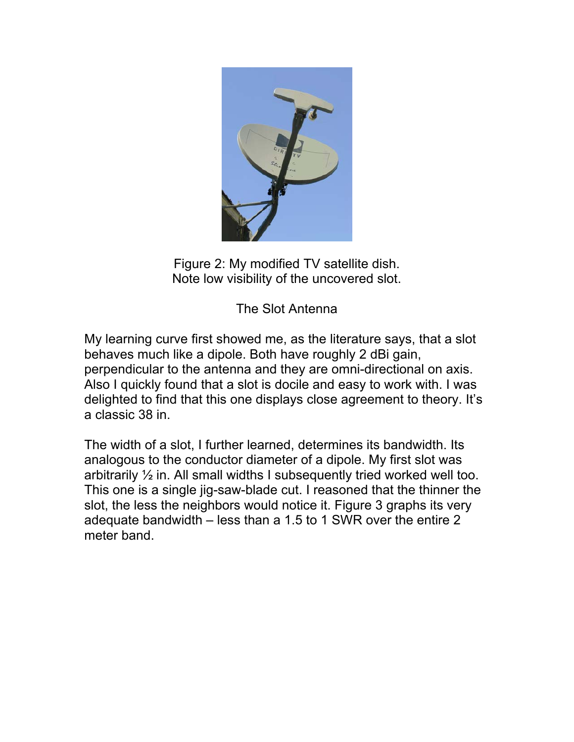

Figure 2: My modified TV satellite dish. Note low visibility of the uncovered slot.

The Slot Antenna

My learning curve first showed me, as the literature says, that a slot behaves much like a dipole. Both have roughly 2 dBi gain, perpendicular to the antenna and they are omni-directional on axis. Also I quickly found that a slot is docile and easy to work with. I was delighted to find that this one displays close agreement to theory. It's a classic 38 in.

The width of a slot, I further learned, determines its bandwidth. Its analogous to the conductor diameter of a dipole. My first slot was arbitrarily ½ in. All small widths I subsequently tried worked well too. This one is a single jig-saw-blade cut. I reasoned that the thinner the slot, the less the neighbors would notice it. Figure 3 graphs its very adequate bandwidth – less than a 1.5 to 1 SWR over the entire 2 meter band.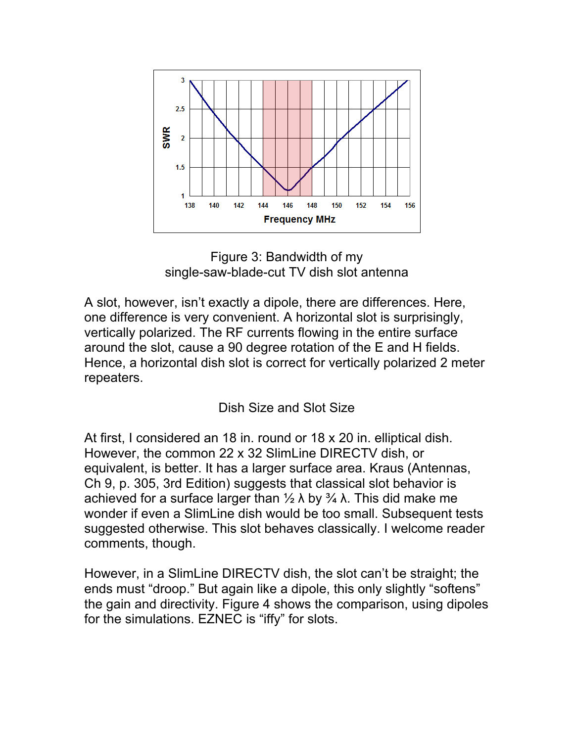

Figure 3: Bandwidth of my single-saw-blade-cut TV dish slot antenna

A slot, however, isn't exactly a dipole, there are differences. Here, one difference is very convenient. A horizontal slot is surprisingly, vertically polarized. The RF currents flowing in the entire surface around the slot, cause a 90 degree rotation of the E and H fields. Hence, a horizontal dish slot is correct for vertically polarized 2 meter repeaters.

## Dish Size and Slot Size

At first, I considered an 18 in. round or 18 x 20 in. elliptical dish. However, the common 22 x 32 SlimLine DIRECTV dish, or equivalent, is better. It has a larger surface area. Kraus (Antennas, Ch 9, p. 305, 3rd Edition) suggests that classical slot behavior is achieved for a surface larger than  $\frac{1}{2} \lambda$  by  $\frac{3}{4} \lambda$ . This did make me wonder if even a SlimLine dish would be too small. Subsequent tests suggested otherwise. This slot behaves classically. I welcome reader comments, though.

However, in a SlimLine DIRECTV dish, the slot can't be straight; the ends must "droop." But again like a dipole, this only slightly "softens" the gain and directivity. Figure 4 shows the comparison, using dipoles for the simulations. EZNEC is "iffy" for slots.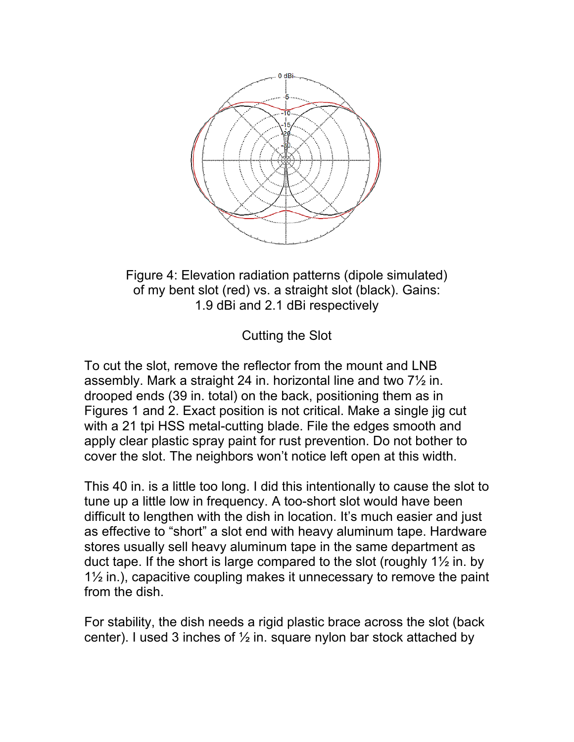

Figure 4: Elevation radiation patterns (dipole simulated) of my bent slot (red) vs. a straight slot (black). Gains: 1.9 dBi and 2.1 dBi respectively

Cutting the Slot

To cut the slot, remove the reflector from the mount and LNB assembly. Mark a straight 24 in. horizontal line and two 7½ in. drooped ends (39 in. total) on the back, positioning them as in Figures 1 and 2. Exact position is not critical. Make a single jig cut with a 21 tpi HSS metal-cutting blade. File the edges smooth and apply clear plastic spray paint for rust prevention. Do not bother to cover the slot. The neighbors won't notice left open at this width.

This 40 in. is a little too long. I did this intentionally to cause the slot to tune up a little low in frequency. A too-short slot would have been difficult to lengthen with the dish in location. It's much easier and just as effective to "short" a slot end with heavy aluminum tape. Hardware stores usually sell heavy aluminum tape in the same department as duct tape. If the short is large compared to the slot (roughly  $1\frac{1}{2}$  in. by 1½ in.), capacitive coupling makes it unnecessary to remove the paint from the dish.

For stability, the dish needs a rigid plastic brace across the slot (back center). I used 3 inches of  $\frac{1}{2}$  in. square nylon bar stock attached by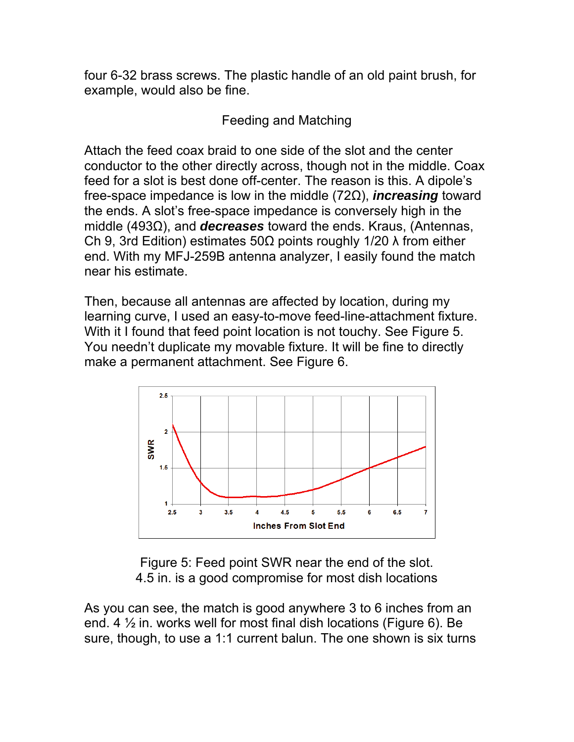four 6-32 brass screws. The plastic handle of an old paint brush, for example, would also be fine.

## Feeding and Matching

Attach the feed coax braid to one side of the slot and the center conductor to the other directly across, though not in the middle. Coax feed for a slot is best done off-center. The reason is this. A dipole's free-space impedance is low in the middle (72Ω), *increasing* toward the ends. A slot's free-space impedance is conversely high in the middle (493Ω), and *decreases* toward the ends. Kraus, (Antennas, Ch 9, 3rd Edition) estimates 50Ω points roughly 1/20  $\lambda$  from either end. With my MFJ-259B antenna analyzer, I easily found the match near his estimate.

Then, because all antennas are affected by location, during my learning curve, I used an easy-to-move feed-line-attachment fixture. With it I found that feed point location is not touchy. See Figure 5. You needn't duplicate my movable fixture. It will be fine to directly make a permanent attachment. See Figure 6.



Figure 5: Feed point SWR near the end of the slot. 4.5 in. is a good compromise for most dish locations

As you can see, the match is good anywhere 3 to 6 inches from an end. 4  $\frac{1}{2}$  in. works well for most final dish locations (Figure 6). Be sure, though, to use a 1:1 current balun. The one shown is six turns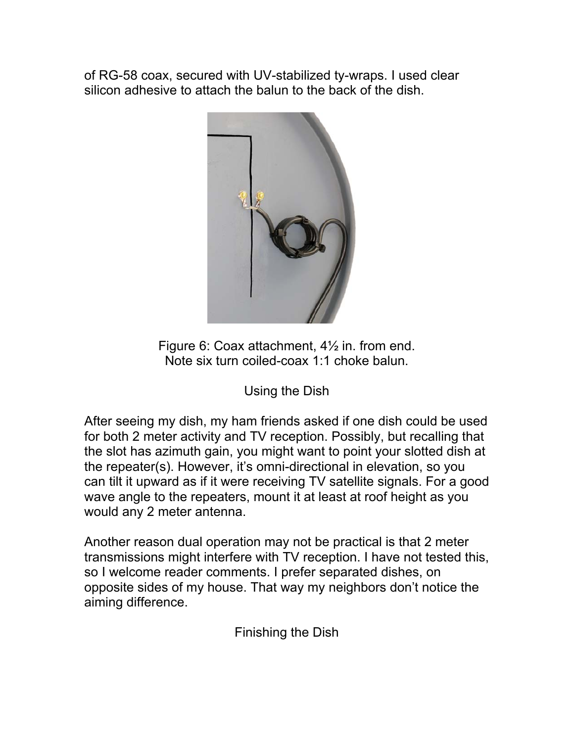of RG-58 coax, secured with UV-stabilized ty-wraps. I used clear silicon adhesive to attach the balun to the back of the dish.



Figure 6: Coax attachment, 4½ in. from end. Note six turn coiled-coax 1:1 choke balun.

Using the Dish

After seeing my dish, my ham friends asked if one dish could be used for both 2 meter activity and TV reception. Possibly, but recalling that the slot has azimuth gain, you might want to point your slotted dish at the repeater(s). However, it's omni-directional in elevation, so you can tilt it upward as if it were receiving TV satellite signals. For a good wave angle to the repeaters, mount it at least at roof height as you would any 2 meter antenna.

Another reason dual operation may not be practical is that 2 meter transmissions might interfere with TV reception. I have not tested this, so I welcome reader comments. I prefer separated dishes, on opposite sides of my house. That way my neighbors don't notice the aiming difference.

Finishing the Dish